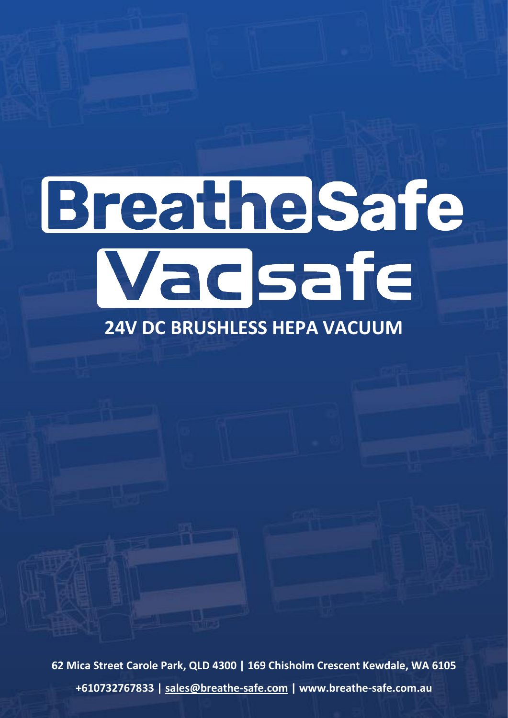# Breathelsafe Wadsafe

# **24V DC BRUSHLESS HEPA VACUUM**

**62 Mica Street Carole Park, QLD 4300 | 169 Chisholm Crescent Kewdale, WA 6105 +610732767833 | [sales@breathe-safe.com](mailto:sales@breathe-safe.com) | www.breathe-safe.com.au**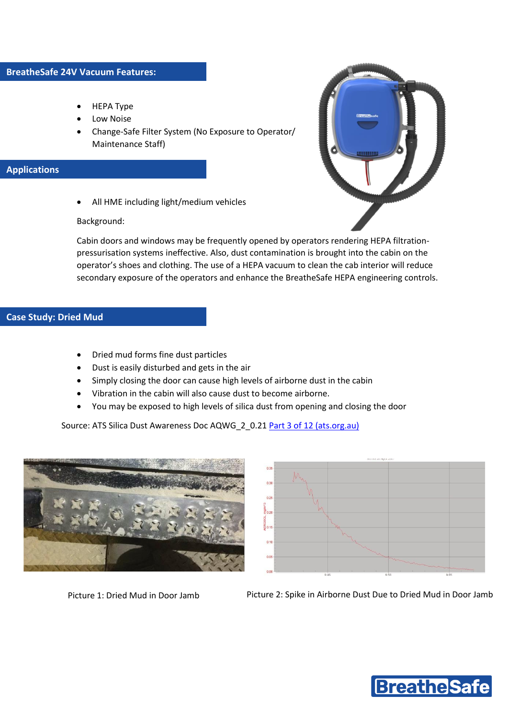- HEPA Type
- Low Noise
- Change-Safe Filter System (No Exposure to Operator/ Maintenance Staff)

## **Applications**



• All HME including light/medium vehicles

### Background:

Cabin doors and windows may be frequently opened by operators rendering HEPA filtrationpressurisation systems ineffective. Also, dust contamination is brought into the cabin on the operator's shoes and clothing. The use of a HEPA vacuum to clean the cab interior will reduce secondary exposure of the operators and enhance the BreatheSafe HEPA engineering controls.

### **Case Study: Dried Mud**

- Dried mud forms fine dust particles
- Dust is easily disturbed and gets in the air
- Simply closing the door can cause high levels of airborne dust in the cabin
- Vibration in the cabin will also cause dust to become airborne.
- You may be exposed to high levels of silica dust from opening and closing the door

Source: ATS Silica Dust Awareness Doc AQWG\_2\_0.21 [Part 3 of 12 \(ats.org.au\)](http://www.ats.org.au/wp-content/uploads/2018/12/AQWG-Part-3-of-12-Silica-Dust-Awareness-Package-v0.21.pdf)





Picture 1: Dried Mud in Door Jamb Picture 2: Spike in Airborne Dust Due to Dried Mud in Door Jamb